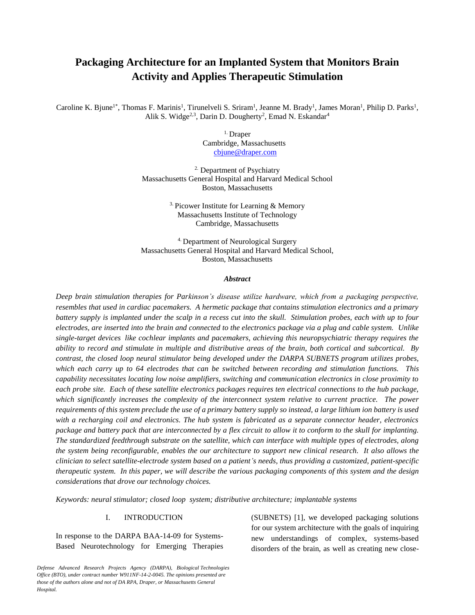# **Packaging Architecture for an Implanted System that Monitors Brain Activity and Applies Therapeutic Stimulation**

Caroline K. Bjune<sup>1\*</sup>, Thomas F. Marinis<sup>1</sup>, Tirunelveli S. Sriram<sup>1</sup>, Jeanne M. Brady<sup>1</sup>, James Moran<sup>1</sup>, Philip D. Parks<sup>1</sup>, Alik S. Widge<sup>2,3</sup>, Darin D. Dougherty<sup>2</sup>, Emad N. Eskandar<sup>4</sup>

> 1. Draper Cambridge, Massachusetts [cbjune@draper.com](mailto:cbjune@draper.com)

2. Department of Psychiatry Massachusetts General Hospital and Harvard Medical School Boston, Massachusetts

> <sup>3.</sup> Picower Institute for Learning  $&$  Memory Massachusetts Institute of Technology Cambridge, Massachusetts

4. Department of Neurological Surgery Massachusetts General Hospital and Harvard Medical School, Boston, Massachusetts

#### *Abstract*

*Deep brain stimulation therapies for Parkinson's disease utilize hardware, which from a packaging perspective, resembles that used in cardiac pacemakers. A hermetic package that contains stimulation electronics and a primary battery supply is implanted under the scalp in a recess cut into the skull. Stimulation probes, each with up to four electrodes, are inserted into the brain and connected to the electronics package via a plug and cable system. Unlike single-target devices like cochlear implants and pacemakers, achieving this neuropsychiatric therapy requires the ability to record and stimulate in multiple and distributive areas of the brain, both cortical and subcortical. By contrast, the closed loop neural stimulator being developed under the DARPA SUBNETS program utilizes probes, which each carry up to 64 electrodes that can be switched between recording and stimulation functions. This capability necessitates locating low noise amplifiers, switching and communication electronics in close proximity to each probe site. Each of these satellite electronics packages requires ten electrical connections to the hub package, which significantly increases the complexity of the interconnect system relative to current practice. The power requirements of this system preclude the use of a primary battery supply so instead, a large lithium ion battery is used with a recharging coil and electronics. The hub system is fabricated as a separate connector header, electronics package and battery pack that are interconnected by a flex circuit to allow it to conform to the skull for implanting. The standardized feedthrough substrate on the satellite, which can interface with multiple types of electrodes, along the system being reconfigurable, enables the our architecture to support new clinical research. It also allows the clinician to select satellite-electrode system based on a patient's needs, thus providing a customized, patient-specific therapeutic system. In this paper, we will describe the various packaging components of this system and the design considerations that drove our technology choices.*

*Keywords: neural stimulator; closed loop system; distributive architecture; implantable systems*

## I. INTRODUCTION

In response to the DARPA BAA-14-09 for Systems-Based Neurotechnology for Emerging Therapies (SUBNETS) [1], we developed packaging solutions for our system architecture with the goals of inquiring new understandings of complex, systems-based disorders of the brain, as well as creating new close-

*Defense Advanced Research Projects Agency (DARPA), Biological Technologies Office (BTO), under contract number W911NF-14-2-0045. The opinions presented are those of the authors alone and not of DA RPA, Draper, or Massachusetts General Hospital.*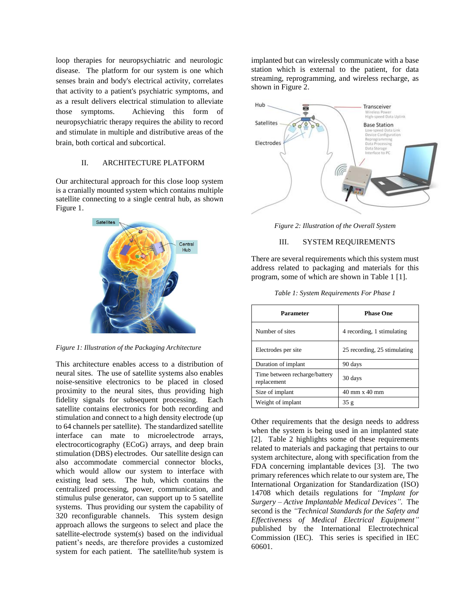loop therapies for neuropsychiatric and neurologic disease. The platform for our system is one which senses brain and body's electrical activity, correlates that activity to a patient's psychiatric symptoms, and as a result delivers electrical stimulation to alleviate those symptoms. Achieving this form of neuropsychiatric therapy requires the ability to record and stimulate in multiple and distributive areas of the brain, both cortical and subcortical.

## II. ARCHITECTURE PLATFORM

Our architectural approach for this close loop system is a cranially mounted system which contains multiple satellite connecting to a single central hub, as shown Figure 1.



*Figure 1: Illustration of the Packaging Architecture*

This architecture enables access to a distribution of neural sites. The use of satellite systems also enables noise-sensitive electronics to be placed in closed proximity to the neural sites, thus providing high fidelity signals for subsequent processing. Each satellite contains electronics for both recording and stimulation and connect to a high density electrode (up to 64 channels per satellite). The standardized satellite interface can mate to microelectrode arrays, electrocorticography (ECoG) arrays, and deep brain stimulation (DBS) electrodes. Our satellite design can also accommodate commercial connector blocks, which would allow our system to interface with existing lead sets. The hub, which contains the centralized processing, power, communication, and stimulus pulse generator, can support up to 5 satellite systems. Thus providing our system the capability of 320 reconfigurable channels. This system design approach allows the surgeons to select and place the satellite-electrode system(s) based on the individual patient's needs, are therefore provides a customized system for each patient. The satellite/hub system is

implanted but can wirelessly communicate with a base station which is external to the patient, for data streaming, reprogramming, and wireless recharge, as shown in Figure 2.



*Figure 2: Illustration of the Overall System*

## III. SYSTEM REQUIREMENTS

There are several requirements which this system must address related to packaging and materials for this program, some of which are shown in Table 1 [1].

| Parameter                                    | <b>Phase One</b>                     |
|----------------------------------------------|--------------------------------------|
| Number of sites                              | 4 recording, 1 stimulating           |
| Electrodes per site                          | 25 recording, 25 stimulating         |
| Duration of implant                          | 90 days                              |
| Time between recharge/battery<br>replacement | 30 days                              |
| Size of implant                              | $40 \text{ mm} \times 40 \text{ mm}$ |
| Weight of implant                            | 35g                                  |

Other requirements that the design needs to address when the system is being used in an implanted state [2]. Table 2 highlights some of these requirements related to materials and packaging that pertains to our system architecture, along with specification from the FDA concerning implantable devices [3]. The two primary references which relate to our system are, The International Organization for Standardization (ISO) 14708 which details regulations for *"Implant for Surgery – Active Implantable Medical Devices".* The second is the *"Technical Standards for the Safety and Effectiveness of Medical Electrical Equipment"* published by the International Electrotechnical Commission (IEC). This series is specified in IEC 60601.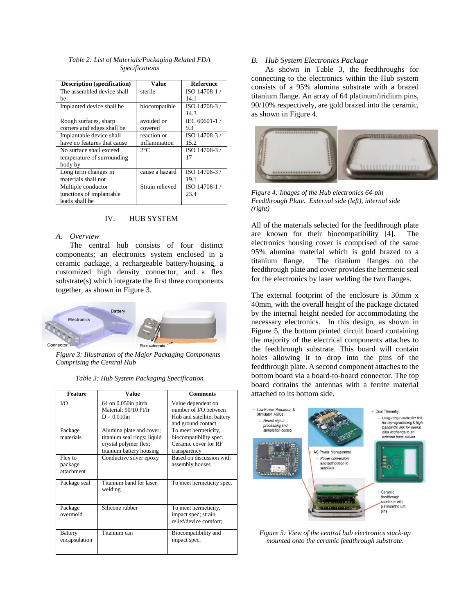| <b>Description</b> (specification) | Value           | <b>Reference</b> |
|------------------------------------|-----------------|------------------|
| The assembled device shall         | sterile         | ISO 14708-1/     |
| be                                 |                 | 14.1             |
| Implanted device shall be          | biocompatible   | ISO 14708-3/     |
|                                    |                 | 14.3             |
| Rough surfaces, sharp              | avoided or      | IEC 60601-1/     |
| corners and edges shall be         | covered         | 9.3              |
| Implantable device shall           | reaction or     | ISO 14708-3/     |
| have no features that cause        | inflammation    | 15.2             |
| No surface shall exceed            | $2^{\circ}C$    | ISO 14708-3/     |
| temperature of surrounding         |                 | 17               |
| body by                            |                 |                  |
| Long term changes in               | cause a hazard  | ISO 14708-3/     |
| materials shall not                |                 | 19.1             |
| Multiple conductor                 | Strain relieved | ISO 14708-1/     |
| junctions of implantable           |                 | 23.4             |
| leads shall be                     |                 |                  |

*Table 2: List of Materials/Packaging Related FDA Specifications*

## IV. HUB SYSTEM

#### *A. Overview*

The central hub consists of four distinct components; an electronics system enclosed in a ceramic package, a rechargeable battery/housing, a customized high density connector, and a flex substrate(s) which integrate the first three components together, as shown in Figure 3.



*Figure 3: Illustration of the Major Packaging Components Comprising the Central Hub*

| <b>Feature</b>                   | Value                                                                                                        | <b>Comments</b>                                                                                 |  |  |
|----------------------------------|--------------------------------------------------------------------------------------------------------------|-------------------------------------------------------------------------------------------------|--|--|
| $V\Omega$                        | $64$ on $0.050$ in pitch<br>Material: 90/10 Pt/Ir<br>$D = 0.010$ in                                          | Value dependent on<br>number of I/O between<br>Hub and satellite; battery<br>and ground contact |  |  |
| Package<br>materials             | Alumina plate and cover;<br>titanium seal rings; liquid<br>crystal polymer flex;<br>titanium battery housing | To meet hermeticity,<br>biocompatibility spec.<br>Ceramic cover for RF<br>transparency          |  |  |
| Flex to<br>package<br>attachment | Conductive silver epoxy                                                                                      | Based on discussion with<br>assembly houses                                                     |  |  |
| Package seal                     | Titanium band for laser<br>welding                                                                           | To meet hermeticity spec.                                                                       |  |  |
| Package<br>overmold              | Silicone rubber                                                                                              | To meet hermeticity,<br>impact spec; strain<br>relief/device comfort:                           |  |  |
| <b>Battery</b><br>encapsulation  | Titanium can                                                                                                 | Biocompatibility and<br>impact spec.                                                            |  |  |

*Table 3: Hub System Packaging Specification*

#### *B. Hub System Electronics Package*

As shown in Table 3, the feedthroughs for connecting to the electronics within the Hub system consists of a 95% alumina substrate with a brazed titanium flange. An array of 64 platinum/iridium pins, 90/10% respectively, are gold brazed into the ceramic, as shown in Figure 4.



*Figure 4: Images of the Hub electronics 64-pin Feedthrough Plate. External side (left), internal side (right)*

All of the materials selected for the feedthrough plate are known for their biocompatibility [4]. The electronics housing cover is comprised of the same 95% alumina material which is gold brazed to a titanium flange. The titanium flanges on the feedthrough plate and cover provides the hermetic seal for the electronics by laser welding the two flanges.

The external footprint of the enclosure is 30mm x 40mm, with the overall height of the package dictated by the internal height needed for accommodating the necessary electronics. In this design, as shown in Figure 5, the bottom printed circuit board containing the majority of the electrical components attaches to the feedthrough substrate. This board will contain holes allowing it to drop into the pins of the feedthrough plate. A second component attaches to the bottom board via a board-to-board connector. The top board contains the antennas with a ferrite material attached to its bottom side.



*Figure 5: View of the central hub electronics stack-up mounted onto the ceramic feedthrough substrate.*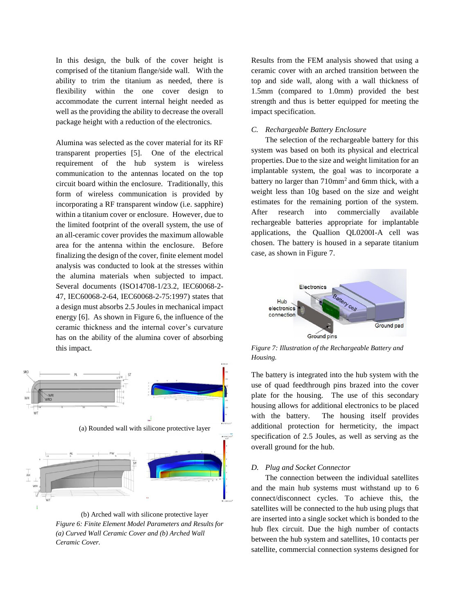In this design, the bulk of the cover height is comprised of the titanium flange/side wall. With the ability to trim the titanium as needed, there is flexibility within the one cover design to accommodate the current internal height needed as well as the providing the ability to decrease the overall package height with a reduction of the electronics.

Alumina was selected as the cover material for its RF transparent properties [5]. One of the electrical requirement of the hub system is wireless communication to the antennas located on the top circuit board within the enclosure. Traditionally, this form of wireless communication is provided by incorporating a RF transparent window (i.e. sapphire) within a titanium cover or enclosure. However, due to the limited footprint of the overall system, the use of an all-ceramic cover provides the maximum allowable area for the antenna within the enclosure. Before finalizing the design of the cover, finite element model analysis was conducted to look at the stresses within the alumina materials when subjected to impact. Several documents (ISO14708-1/23.2, IEC60068-2- 47, IEC60068-2-64, IEC60068-2-75:1997) states that a design must absorbs 2.5 Joules in mechanical impact energy [6]. As shown in Figure 6, the influence of the ceramic thickness and the internal cover's curvature has on the ability of the alumina cover of absorbing this impact.



(b) Arched wall with silicone protective layer *Figure 6: Finite Element Model Parameters and Results for (a) Curved Wall Ceramic Cover and (b) Arched Wall Ceramic Cover.*

Results from the FEM analysis showed that using a ceramic cover with an arched transition between the top and side wall, along with a wall thickness of 1.5mm (compared to 1.0mm) provided the best strength and thus is better equipped for meeting the impact specification.

### *C. Rechargeable Battery Enclosure*

The selection of the rechargeable battery for this system was based on both its physical and electrical properties. Due to the size and weight limitation for an implantable system, the goal was to incorporate a battery no larger than 710mm<sup>2</sup> and 6mm thick, with a weight less than 10g based on the size and weight estimates for the remaining portion of the system. After research into commercially available rechargeable batteries appropriate for implantable applications, the Quallion QL0200I-A cell was chosen. The battery is housed in a separate titanium case, as shown in Figure 7.



*Figure 7: Illustration of the Rechargeable Battery and Housing.*

The battery is integrated into the hub system with the use of quad feedthrough pins brazed into the cover plate for the housing. The use of this secondary housing allows for additional electronics to be placed with the battery. The housing itself provides additional protection for hermeticity, the impact specification of 2.5 Joules, as well as serving as the overall ground for the hub.

#### *D. Plug and Socket Connector*

The connection between the individual satellites and the main hub systems must withstand up to 6 connect/disconnect cycles. To achieve this, the satellites will be connected to the hub using plugs that are inserted into a single socket which is bonded to the hub flex circuit. Due the high number of contacts between the hub system and satellites, 10 contacts per satellite, commercial connection systems designed for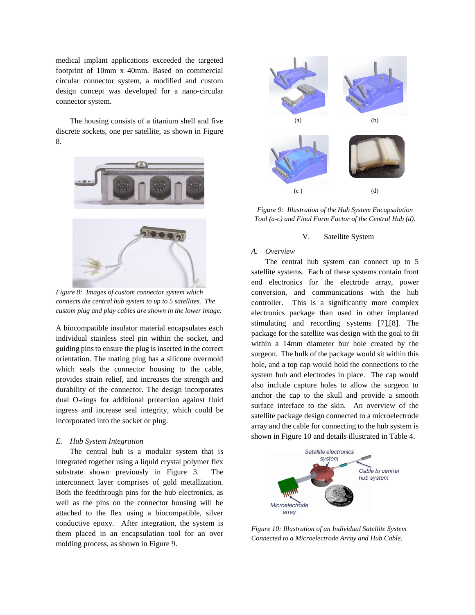medical implant applications exceeded the targeted footprint of 10mm x 40mm. Based on commercial circular connector system, a modified and custom design concept was developed for a nano-circular connector system.

The housing consists of a titanium shell and five discrete sockets, one per satellite, as shown in Figure 8.



*Figure 8: Images of custom connector system which connects the central hub system to up to 5 satellites. The custom plug and play cables are shown in the lower image.*

A biocompatible insulator material encapsulates each individual stainless steel pin within the socket, and guiding pins to ensure the plug is inserted in the correct orientation. The mating plug has a silicone overmold which seals the connector housing to the cable, provides strain relief, and increases the strength and durability of the connector. The design incorporates dual O-rings for additional protection against fluid ingress and increase seal integrity, which could be incorporated into the socket or plug.

#### *E. Hub System Integration*

The central hub is a modular system that is integrated together using a liquid crystal polymer flex substrate shown previously in Figure 3. The interconnect layer comprises of gold metallization. Both the feedthrough pins for the hub electronics, as well as the pins on the connector housing will be attached to the flex using a biocompatible, silver conductive epoxy. After integration, the system is them placed in an encapsulation tool for an over molding process, as shown in Figure 9.



*Figure 9: Illustration of the Hub System Encapsulation Tool (a-c) and Final Form Factor of the Central Hub (d).*

#### V. Satellite System

## *A. Overview*

The central hub system can connect up to 5 satellite systems. Each of these systems contain front end electronics for the electrode array, power conversion, and communications with the hub controller. This is a significantly more complex electronics package than used in other implanted stimulating and recording systems [7],[8]. The package for the satellite was design with the goal to fit within a 14mm diameter bur hole created by the surgeon. The bulk of the package would sit within this hole, and a top cap would hold the connections to the system hub and electrodes in place. The cap would also include capture holes to allow the surgeon to anchor the cap to the skull and provide a smooth surface interface to the skin. An overview of the satellite package design connected to a microelectrode array and the cable for connecting to the hub system is shown in Figure 10 and details illustrated in Table 4.



*Figure 10: Illustration of an Individual Satellite System Connected to a Microelectrode Array and Hub Cable.*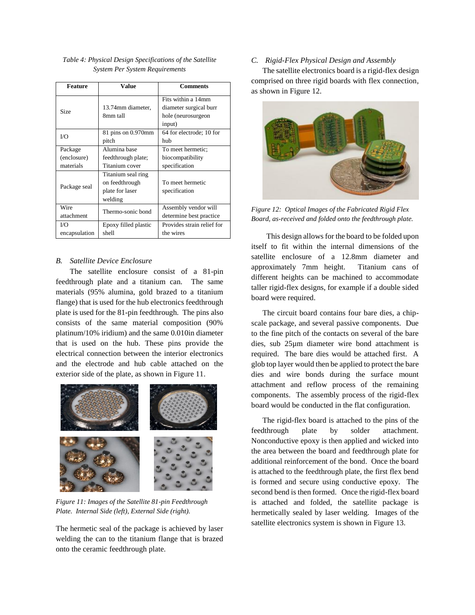| <b>Feature</b>                      | Value                                                              | <b>Comments</b>                                                              |
|-------------------------------------|--------------------------------------------------------------------|------------------------------------------------------------------------------|
| Size                                | 13.74mm diameter,<br>8mm tall                                      | Fits within a 14mm<br>diameter surgical burr<br>hole (neurosurgeon<br>input) |
| U()                                 | 81 pins on 0.970mm<br>pitch                                        | 64 for electrode; 10 for<br>hub                                              |
| Package<br>(enclosure)<br>materials | Alumina base<br>feedthrough plate;<br>Titanium cover               | To meet hermetic;<br>biocompatibility<br>specification                       |
| Package seal                        | Titanium seal ring<br>on feedthrough<br>plate for laser<br>welding | To meet hermetic<br>specification                                            |
| Wire<br>attachment                  | Thermo-sonic bond                                                  | Assembly vendor will<br>determine best practice                              |
| U()<br>encapsulation                | Epoxy filled plastic<br>shell                                      | Provides strain relief for<br>the wires                                      |

## *Table 4: Physical Design Specifications of the Satellite System Per System Requirements*

## *B. Satellite Device Enclosure*

The satellite enclosure consist of a 81-pin feedthrough plate and a titanium can. The same materials (95% alumina, gold brazed to a titanium flange) that is used for the hub electronics feedthrough plate is used for the 81-pin feedthrough. The pins also consists of the same material composition (90% platinum/10% iridium) and the same 0.010in diameter that is used on the hub. These pins provide the electrical connection between the interior electronics and the electrode and hub cable attached on the exterior side of the plate, as shown in Figure 11.



*Figure 11: Images of the Satellite 81-pin Feedthrough Plate. Internal Side (left), External Side (right).*

The hermetic seal of the package is achieved by laser welding the can to the titanium flange that is brazed onto the ceramic feedthrough plate.

## *C. Rigid-Flex Physical Design and Assembly*

The satellite electronics board is a rigid-flex design comprised on three rigid boards with flex connection, as shown in Figure 12.



*Figure 12: Optical Images of the Fabricated Rigid Flex Board, as-received and folded onto the feedthrough plate.*

 This design allows for the board to be folded upon itself to fit within the internal dimensions of the satellite enclosure of a 12.8mm diameter and approximately 7mm height. Titanium cans of different heights can be machined to accommodate taller rigid-flex designs, for example if a double sided board were required.

The circuit board contains four bare dies, a chipscale package, and several passive components. Due to the fine pitch of the contacts on several of the bare dies, sub 25µm diameter wire bond attachment is required. The bare dies would be attached first. A glob top layer would then be applied to protect the bare dies and wire bonds during the surface mount attachment and reflow process of the remaining components. The assembly process of the rigid-flex board would be conducted in the flat configuration.

The rigid-flex board is attached to the pins of the feedthrough plate by solder attachment. Nonconductive epoxy is then applied and wicked into the area between the board and feedthrough plate for additional reinforcement of the bond. Once the board is attached to the feedthrough plate, the first flex bend is formed and secure using conductive epoxy. The second bend is then formed. Once the rigid-flex board is attached and folded, the satellite package is hermetically sealed by laser welding. Images of the satellite electronics system is shown in Figure 13.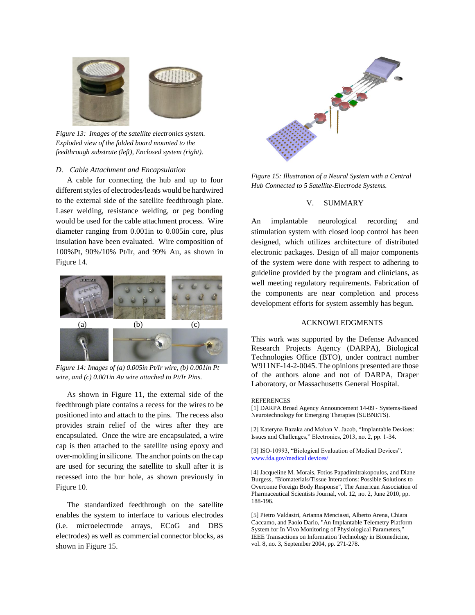

*Figure 13: Images of the satellite electronics system. Exploded view of the folded board mounted to the feedthrough substrate (left), Enclosed system (right).*

#### *D. Cable Attachment and Encapsulation*

A cable for connecting the hub and up to four different styles of electrodes/leads would be hardwired to the external side of the satellite feedthrough plate. Laser welding, resistance welding, or peg bonding would be used for the cable attachment process. Wire diameter ranging from 0.001in to 0.005in core, plus insulation have been evaluated. Wire composition of 100%Pt, 90%/10% Pt/Ir, and 99% Au, as shown in Figure 14.



*Figure 14: Images of (a) 0.005in Pt/Ir wire, (b) 0.001in Pt wire, and (c) 0.001in Au wire attached to Pt/Ir Pins.* 

As shown in Figure 11, the external side of the feedthrough plate contains a recess for the wires to be positioned into and attach to the pins. The recess also provides strain relief of the wires after they are encapsulated. Once the wire are encapsulated, a wire cap is then attached to the satellite using epoxy and over-molding in silicone. The anchor points on the cap are used for securing the satellite to skull after it is recessed into the bur hole, as shown previously in Figure 10.

The standardized feedthrough on the satellite enables the system to interface to various electrodes (i.e. microelectrode arrays, ECoG and DBS electrodes) as well as commercial connector blocks, as shown in Figure 15.



*Figure 15: Illustration of a Neural System with a Central Hub Connected to 5 Satellite-Electrode Systems.*

#### V. SUMMARY

An implantable neurological recording and stimulation system with closed loop control has been designed, which utilizes architecture of distributed electronic packages. Design of all major components of the system were done with respect to adhering to guideline provided by the program and clinicians, as well meeting regulatory requirements. Fabrication of the components are near completion and process development efforts for system assembly has begun.

#### ACKNOWLEDGMENTS

This work was supported by the Defense Advanced Research Projects Agency (DARPA), Biological Technologies Office (BTO), under contract number W911NF-14-2-0045. The opinions presented are those of the authors alone and not of DARPA, Draper Laboratory, or Massachusetts General Hospital.

#### **REFERENCES**

[1] DARPA Broad Agency Announcement 14-09 ‐ Systems‐Based Neurotechnology for Emerging Therapies (SUBNETS).

[2] Kateryna Bazaka and Mohan V. Jacob, "Implantable Devices: Issues and Challenges," Electronics, 2013, no. 2, pp. 1-34.

[3] ISO-10993, "Biological Evaluation of Medical Devices". [www.fda.gov/medical devices/](http://www.fda.gov/medical%20devices/)

[4] Jacqueline M. Morais, Fotios Papadimitrakopoulos, and Diane Burgess, "Biomaterials/Tissue Interactions: Possible Solutions to Overcome Foreign Body Response", The American Association of Pharmaceutical Scientists Journal, vol. 12, no. 2, June 2010, pp. 188-196.

[5] Pietro Valdastri, Arianna Menciassi, Alberto Arena, Chiara Caccamo, and Paolo Dario, "An Implantable Telemetry Platform System for In Vivo Monitoring of Physiological Parameters," IEEE Transactions on Information Technology in Biomedicine, vol. 8, no. 3, September 2004, pp. 271-278.